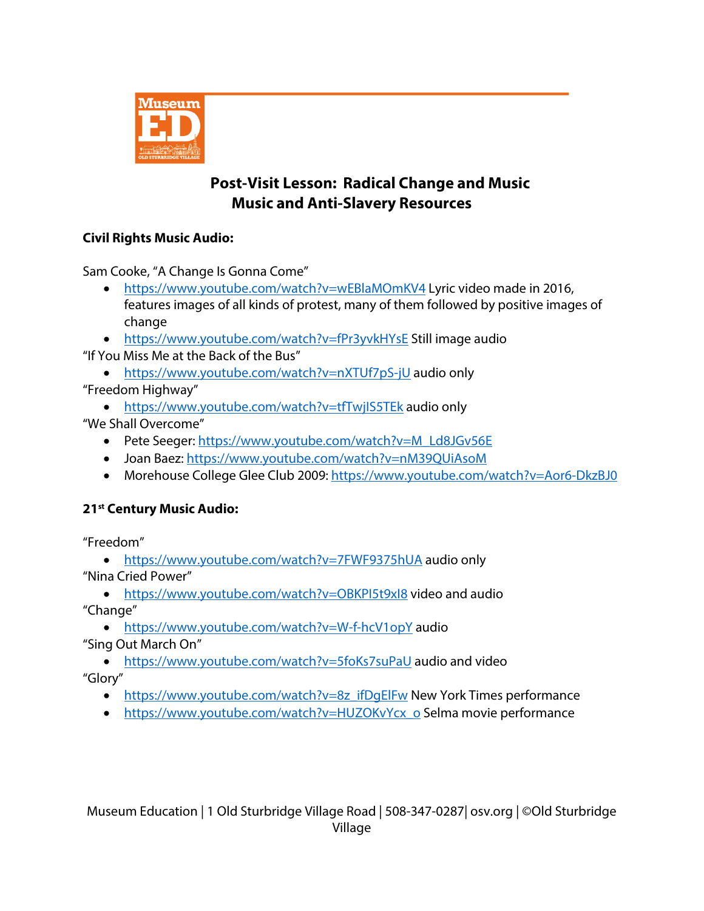

# **Post-Visit Lesson: Radical Change and Music Music and Anti-Slavery Resources**

# **Civil Rights Music Audio:**

Sam Cooke, "A Change Is Gonna Come"

- <https://www.youtube.com/watch?v=wEBlaMOmKV4> Lyric video made in 2016, features images of all kinds of protest, many of them followed by positive images of change
- <https://www.youtube.com/watch?v=fPr3yvkHYsE> Still image audio

"If You Miss Me at the Back of the Bus"

• <https://www.youtube.com/watch?v=nXTUf7pS-jU> audio only

"Freedom Highway"

• <https://www.youtube.com/watch?v=tfTwjIS5TEk> audio only

"We Shall Overcome"

- Pete Seeger: [https://www.youtube.com/watch?v=M\\_Ld8JGv56E](https://www.youtube.com/watch?v=M_Ld8JGv56E)
- Joan Baez:<https://www.youtube.com/watch?v=nM39QUiAsoM>
- Morehouse College Glee Club 2009:<https://www.youtube.com/watch?v=Aor6-DkzBJ0>

# **21st Century Music Audio:**

"Freedom"

• <https://www.youtube.com/watch?v=7FWF9375hUA> audio only "Nina Cried Power"

• <https://www.youtube.com/watch?v=OBKPI5t9xI8> video and audio

"Change"

• <https://www.youtube.com/watch?v=W-f-hcV1opY> audio

"Sing Out March On"

• <https://www.youtube.com/watch?v=5foKs7suPaU> audio and video "Glory"

- [https://www.youtube.com/watch?v=8z\\_ifDgElFw](https://www.youtube.com/watch?v=8z_ifDgElFw) New York Times performance
- [https://www.youtube.com/watch?v=HUZOKvYcx\\_o](https://www.youtube.com/watch?v=HUZOKvYcx_o) Selma movie performance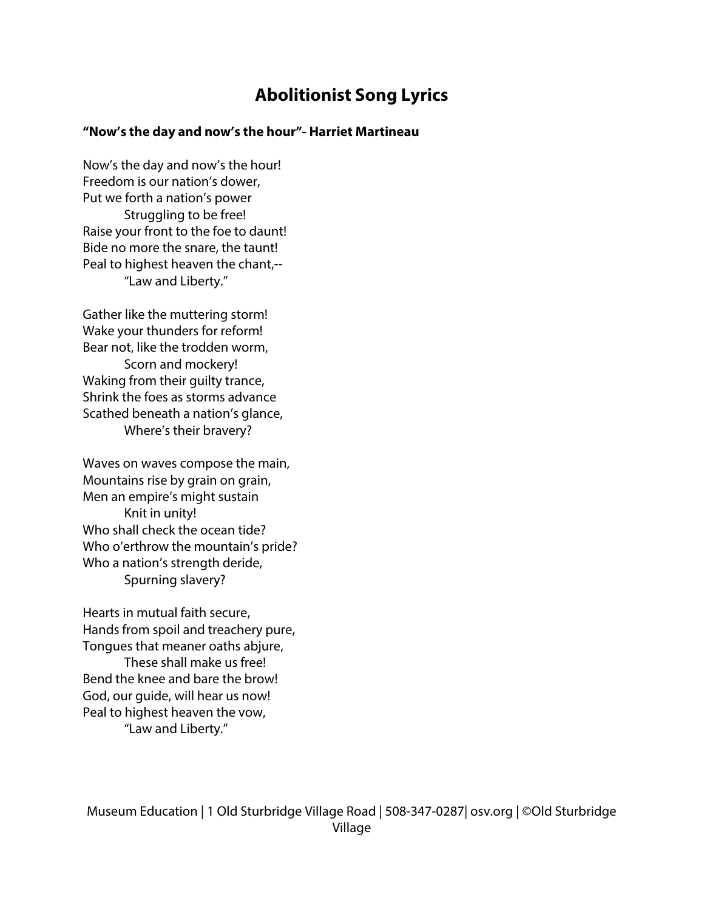# **Abolitionist Song Lyrics**

### **"Now's the day and now's the hour"- Harriet Martineau**

Now's the day and now's the hour! Freedom is our nation's dower, Put we forth a nation's power Struggling to be free! Raise your front to the foe to daunt! Bide no more the snare, the taunt! Peal to highest heaven the chant,-- "Law and Liberty."

Gather like the muttering storm! Wake your thunders for reform! Bear not, like the trodden worm, Scorn and mockery! Waking from their guilty trance, Shrink the foes as storms advance Scathed beneath a nation's glance, Where's their bravery?

Waves on waves compose the main, Mountains rise by grain on grain, Men an empire's might sustain Knit in unity! Who shall check the ocean tide? Who o'erthrow the mountain's pride? Who a nation's strength deride, Spurning slavery?

Hearts in mutual faith secure, Hands from spoil and treachery pure, Tongues that meaner oaths abjure, These shall make us free! Bend the knee and bare the brow! God, our guide, will hear us now! Peal to highest heaven the vow, "Law and Liberty."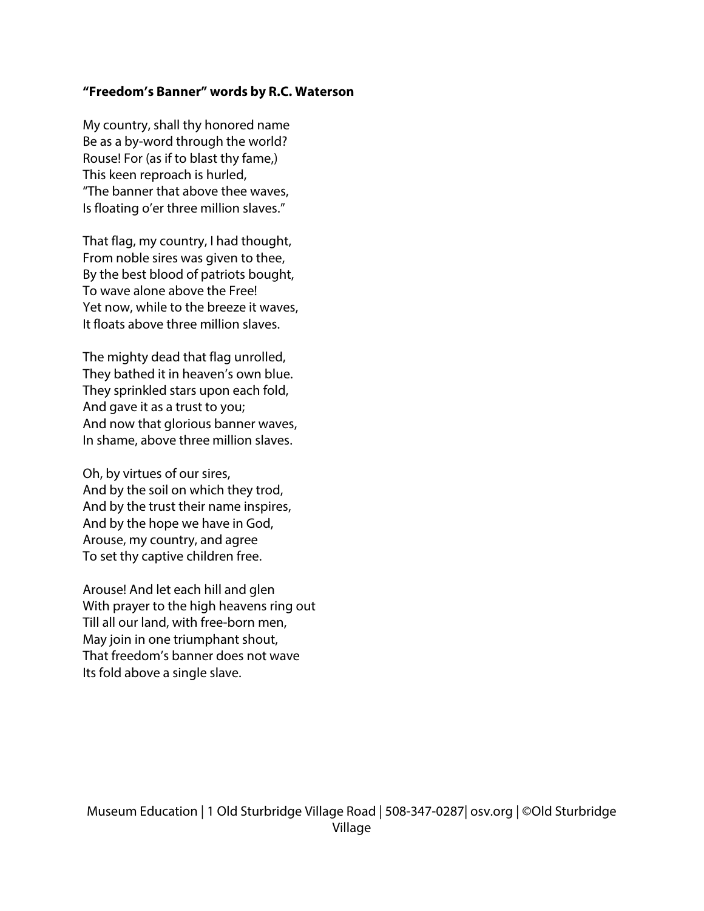### **"Freedom's Banner" words by R.C. Waterson**

My country, shall thy honored name Be as a by-word through the world? Rouse! For (as if to blast thy fame,) This keen reproach is hurled, "The banner that above thee waves, Is floating o'er three million slaves."

That flag, my country, I had thought, From noble sires was given to thee, By the best blood of patriots bought, To wave alone above the Free! Yet now, while to the breeze it waves, It floats above three million slaves.

The mighty dead that flag unrolled, They bathed it in heaven's own blue. They sprinkled stars upon each fold, And gave it as a trust to you; And now that glorious banner waves, In shame, above three million slaves.

Oh, by virtues of our sires, And by the soil on which they trod, And by the trust their name inspires, And by the hope we have in God, Arouse, my country, and agree To set thy captive children free.

Arouse! And let each hill and glen With prayer to the high heavens ring out Till all our land, with free-born men, May join in one triumphant shout, That freedom's banner does not wave Its fold above a single slave.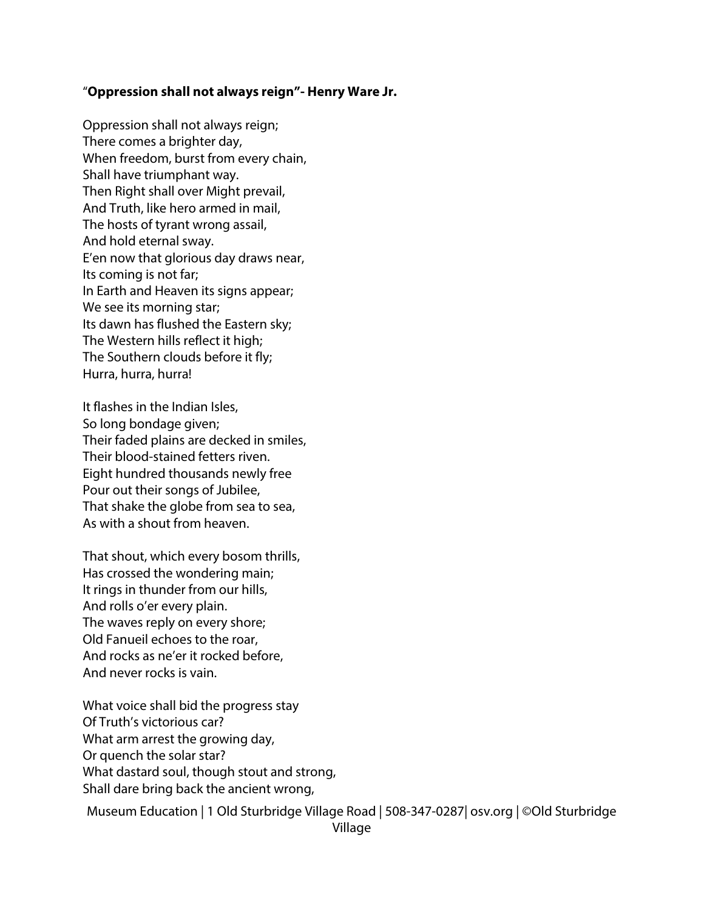#### "**Oppression shall not always reign"- Henry Ware Jr.**

Oppression shall not always reign; There comes a brighter day, When freedom, burst from every chain, Shall have triumphant way. Then Right shall over Might prevail, And Truth, like hero armed in mail, The hosts of tyrant wrong assail, And hold eternal sway. E'en now that glorious day draws near, Its coming is not far; In Earth and Heaven its signs appear; We see its morning star; Its dawn has flushed the Eastern sky; The Western hills reflect it high; The Southern clouds before it fly; Hurra, hurra, hurra!

It flashes in the Indian Isles, So long bondage given; Their faded plains are decked in smiles, Their blood-stained fetters riven. Eight hundred thousands newly free Pour out their songs of Jubilee, That shake the globe from sea to sea, As with a shout from heaven.

That shout, which every bosom thrills, Has crossed the wondering main; It rings in thunder from our hills, And rolls o'er every plain. The waves reply on every shore; Old Fanueil echoes to the roar, And rocks as ne'er it rocked before, And never rocks is vain.

What voice shall bid the progress stay Of Truth's victorious car? What arm arrest the growing day, Or quench the solar star? What dastard soul, though stout and strong, Shall dare bring back the ancient wrong,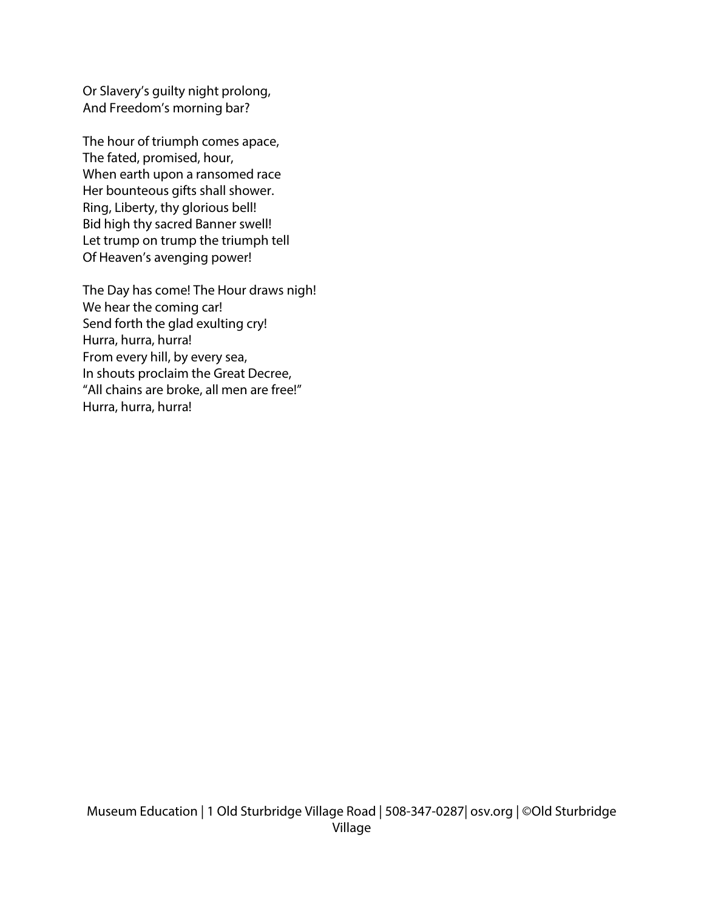Or Slavery's guilty night prolong, And Freedom's morning bar?

The hour of triumph comes apace, The fated, promised, hour, When earth upon a ransomed race Her bounteous gifts shall shower. Ring, Liberty, thy glorious bell! Bid high thy sacred Banner swell! Let trump on trump the triumph tell Of Heaven's avenging power!

The Day has come! The Hour draws nigh! We hear the coming car! Send forth the glad exulting cry! Hurra, hurra, hurra! From every hill, by every sea, In shouts proclaim the Great Decree, "All chains are broke, all men are free!" Hurra, hurra, hurra!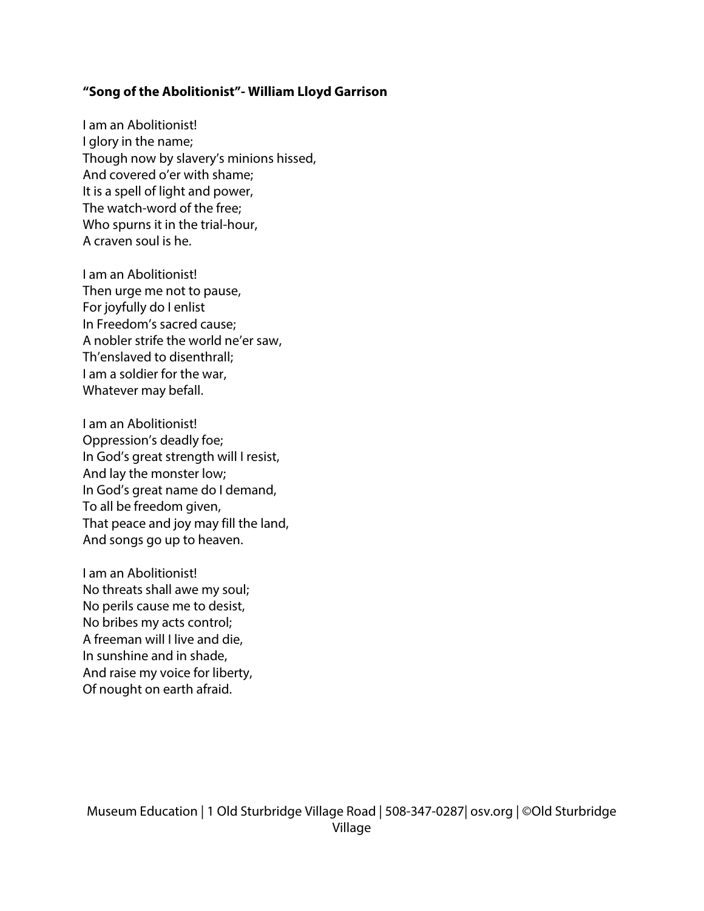## **"Song of the Abolitionist"- William Lloyd Garrison**

I am an Abolitionist! I glory in the name; Though now by slavery's minions hissed, And covered o'er with shame; It is a spell of light and power, The watch-word of the free; Who spurns it in the trial-hour, A craven soul is he.

I am an Abolitionist! Then urge me not to pause, For joyfully do I enlist In Freedom's sacred cause; A nobler strife the world ne'er saw, Th'enslaved to disenthrall; I am a soldier for the war, Whatever may befall.

I am an Abolitionist! Oppression's deadly foe; In God's great strength will I resist, And lay the monster low; In God's great name do I demand, To all be freedom given, That peace and joy may fill the land, And songs go up to heaven.

I am an Abolitionist! No threats shall awe my soul; No perils cause me to desist, No bribes my acts control; A freeman will I live and die, In sunshine and in shade, And raise my voice for liberty, Of nought on earth afraid.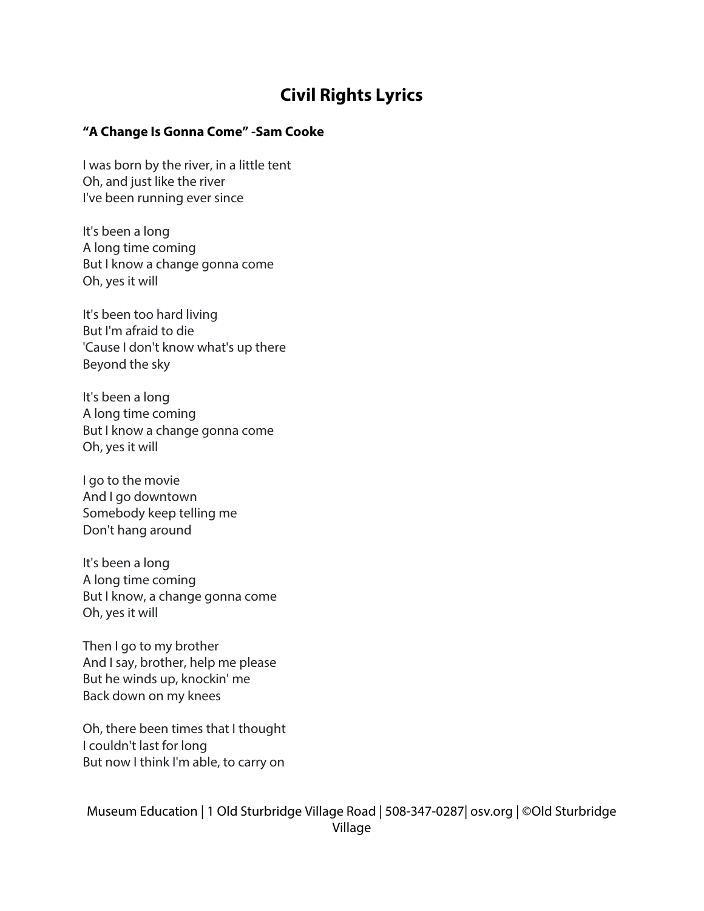# **Civil Rights Lyrics**

### **"A Change Is Gonna Come" -Sam Cooke**

I was born by the river, in a little tent Oh, and just like the river I've been running ever since

It's been a long A long time coming But I know a change gonna come Oh, yes it will

It's been too hard living But I'm afraid to die 'Cause I don't know what's up there Beyond the sky

It's been a long A long time coming But I know a change gonna come Oh, yes it will

I go to the movie And I go downtown Somebody keep telling me Don't hang around

It's been a long A long time coming But I know, a change gonna come Oh, yes it will

Then I go to my brother And I say, brother, help me please But he winds up, knockin' me Back down on my knees

Oh, there been times that I thought I couldn't last for long But now I think I'm able, to carry on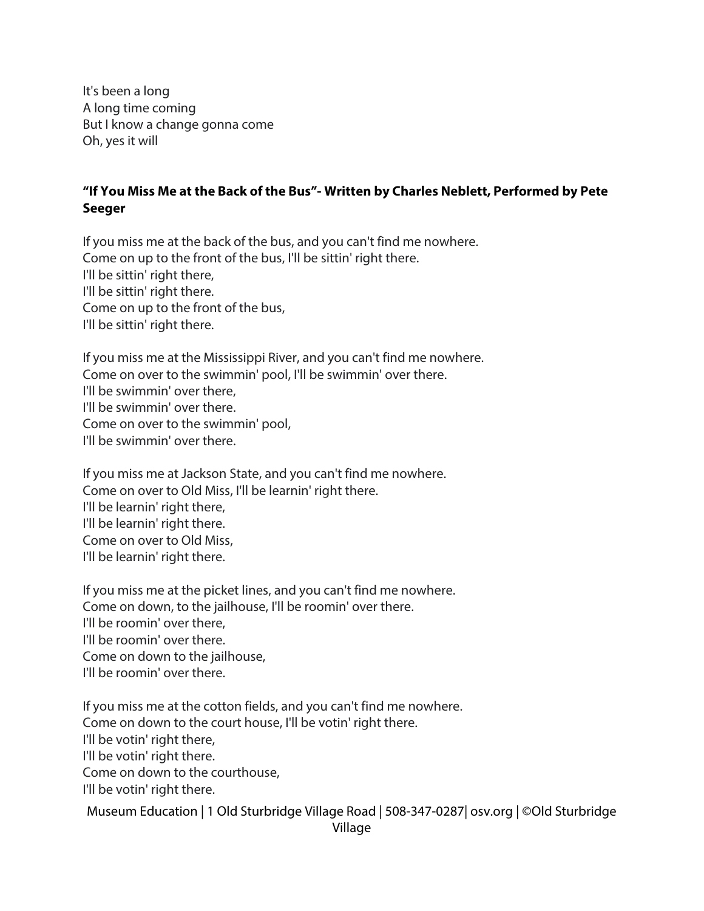It's been a long A long time coming But I know a change gonna come Oh, yes it will

## **"If You Miss Me at the Back of the Bus"- Written by Charles Neblett, Performed by Pete Seeger**

If you miss me at the back of the bus, and you can't find me nowhere. Come on up to the front of the bus, I'll be sittin' right there. I'll be sittin' right there, I'll be sittin' right there. Come on up to the front of the bus, I'll be sittin' right there.

If you miss me at the Mississippi River, and you can't find me nowhere. Come on over to the swimmin' pool, I'll be swimmin' over there. I'll be swimmin' over there, I'll be swimmin' over there. Come on over to the swimmin' pool, I'll be swimmin' over there.

If you miss me at Jackson State, and you can't find me nowhere. Come on over to Old Miss, I'll be learnin' right there. I'll be learnin' right there, I'll be learnin' right there. Come on over to Old Miss, I'll be learnin' right there.

If you miss me at the picket lines, and you can't find me nowhere. Come on down, to the jailhouse, I'll be roomin' over there. I'll be roomin' over there, I'll be roomin' over there. Come on down to the jailhouse, I'll be roomin' over there.

If you miss me at the cotton fields, and you can't find me nowhere. Come on down to the court house, I'll be votin' right there. I'll be votin' right there, I'll be votin' right there. Come on down to the courthouse, I'll be votin' right there.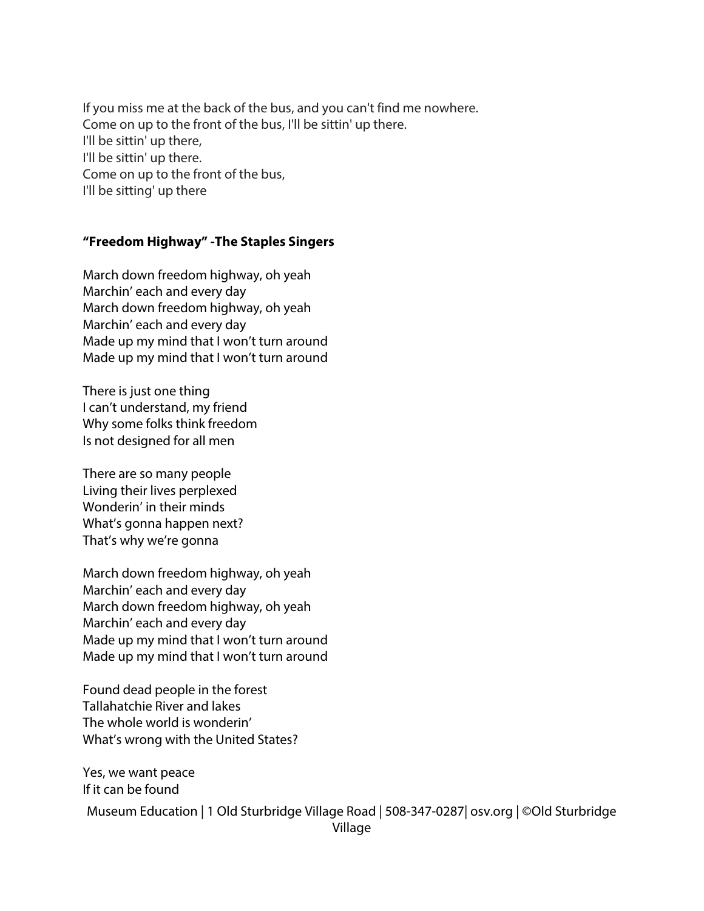If you miss me at the back of the bus, and you can't find me nowhere. Come on up to the front of the bus, I'll be sittin' up there. I'll be sittin' up there, I'll be sittin' up there. Come on up to the front of the bus, I'll be sitting' up there

#### **"Freedom Highway" -The Staples Singers**

March down freedom highway, oh yeah Marchin' each and every day March down freedom highway, oh yeah Marchin' each and every day Made up my mind that I won't turn around Made up my mind that I won't turn around

There is just one thing I can't understand, my friend Why some folks think freedom Is not designed for all men

There are so many people Living their lives perplexed Wonderin' in their minds What's gonna happen next? That's why we're gonna

March down freedom highway, oh yeah Marchin' each and every day March down freedom highway, oh yeah Marchin' each and every day Made up my mind that I won't turn around Made up my mind that I won't turn around

Found dead people in the forest Tallahatchie River and lakes The whole world is wonderin' What's wrong with the United States?

Yes, we want peace If it can be found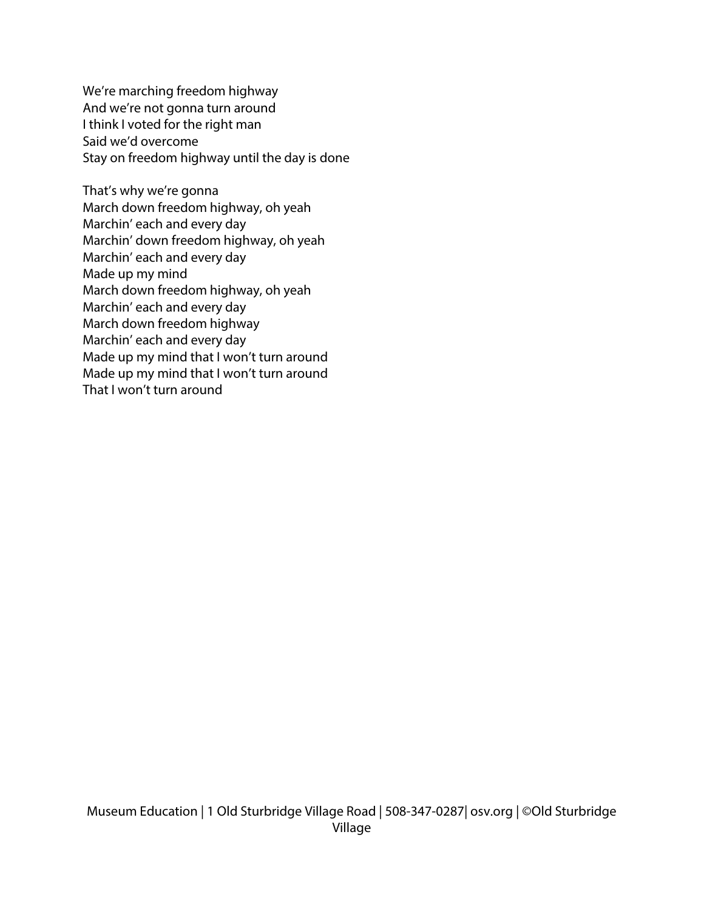We're marching freedom highway And we're not gonna turn around I think I voted for the right man Said we'd overcome Stay on freedom highway until the day is done

That's why we're gonna March down freedom highway, oh yeah Marchin' each and every day Marchin' down freedom highway, oh yeah Marchin' each and every day Made up my mind March down freedom highway, oh yeah Marchin' each and every day March down freedom highway Marchin' each and every day Made up my mind that I won't turn around Made up my mind that I won't turn around That I won't turn around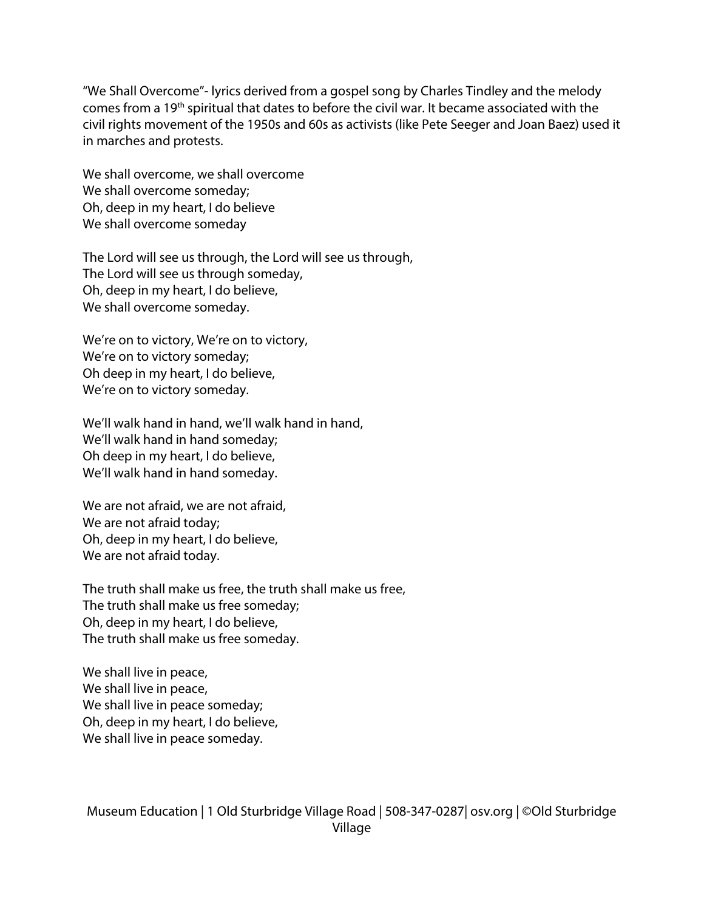"We Shall Overcome"- lyrics derived from a gospel song by Charles Tindley and the melody comes from a 19th spiritual that dates to before the civil war. It became associated with the civil rights movement of the 1950s and 60s as activists (like Pete Seeger and Joan Baez) used it in marches and protests.

We shall overcome, we shall overcome We shall overcome someday; Oh, deep in my heart, I do believe We shall overcome someday

The Lord will see us through, the Lord will see us through, The Lord will see us through someday, Oh, deep in my heart, I do believe, We shall overcome someday.

We're on to victory, We're on to victory, We're on to victory someday; Oh deep in my heart, I do believe, We're on to victory someday.

We'll walk hand in hand, we'll walk hand in hand, We'll walk hand in hand someday; Oh deep in my heart, I do believe, We'll walk hand in hand someday.

We are not afraid, we are not afraid, We are not afraid today; Oh, deep in my heart, I do believe, We are not afraid today.

The truth shall make us free, the truth shall make us free, The truth shall make us free someday; Oh, deep in my heart, I do believe, The truth shall make us free someday.

We shall live in peace, We shall live in peace, We shall live in peace someday; Oh, deep in my heart, I do believe, We shall live in peace someday.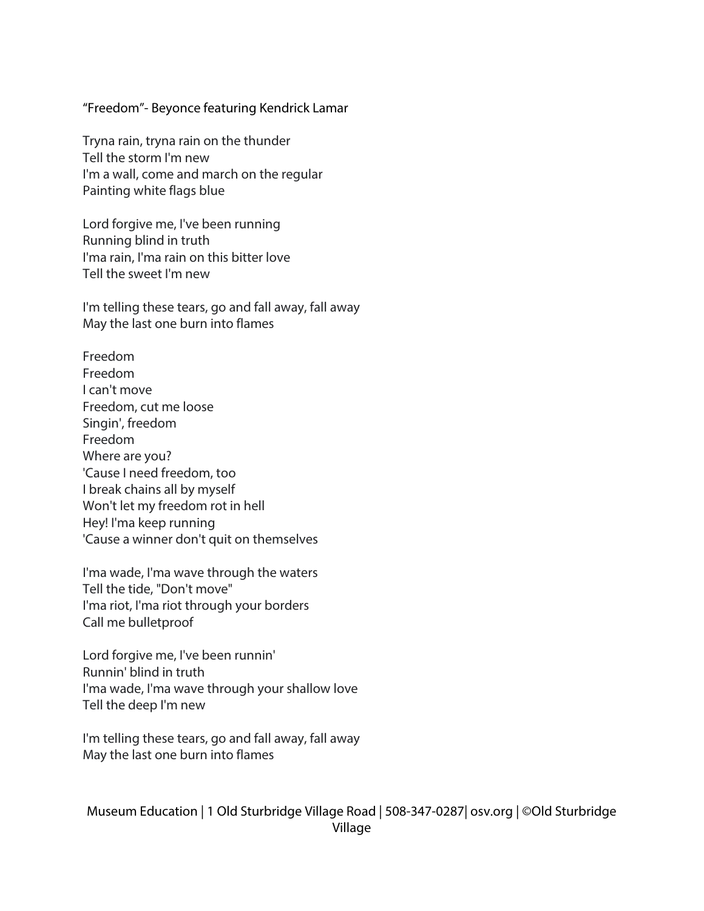"Freedom"- Beyonce featuring Kendrick Lamar

Tryna rain, tryna rain on the thunder Tell the storm I'm new I'm a wall, come and march on the regular Painting white flags blue

Lord forgive me, I've been running Running blind in truth I'ma rain, I'ma rain on this bitter love Tell the sweet I'm new

I'm telling these tears, go and fall away, fall away May the last one burn into flames

Freedom Freedom I can't move Freedom, cut me loose Singin', freedom Freedom Where are you? 'Cause I need freedom, too I break chains all by myself Won't let my freedom rot in hell Hey! I'ma keep running 'Cause a winner don't quit on themselves

I'ma wade, I'ma wave through the waters Tell the tide, "Don't move" I'ma riot, I'ma riot through your borders Call me bulletproof

Lord forgive me, I've been runnin' Runnin' blind in truth I'ma wade, I'ma wave through your shallow love Tell the deep I'm new

I'm telling these tears, go and fall away, fall away May the last one burn into flames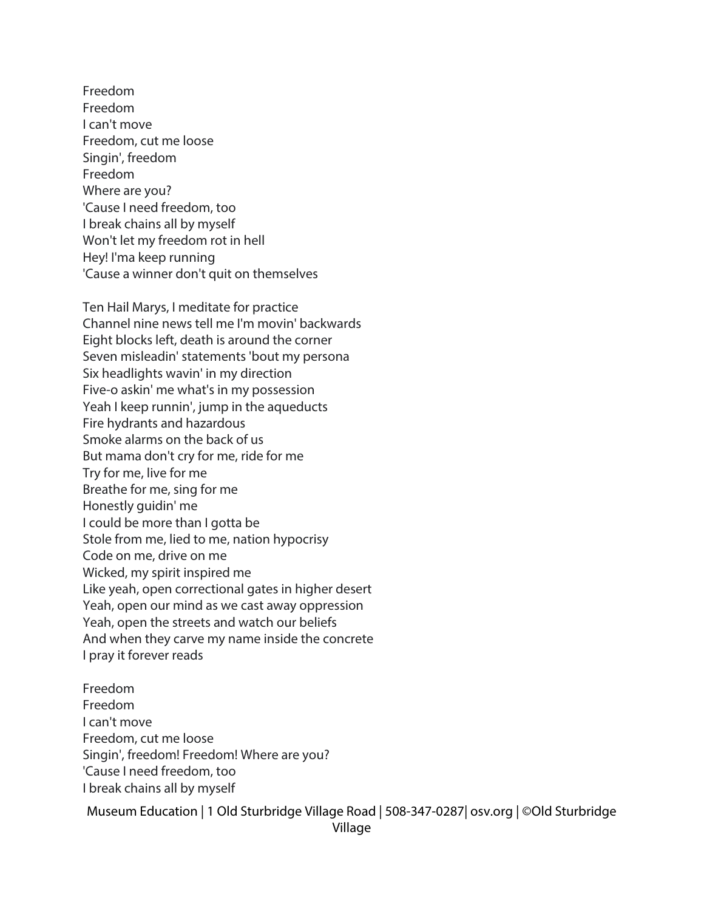Freedom Freedom I can't move Freedom, cut me loose Singin', freedom Freedom Where are you? 'Cause I need freedom, too I break chains all by myself Won't let my freedom rot in hell Hey! I'ma keep running 'Cause a winner don't quit on themselves

Ten Hail Marys, I meditate for practice Channel nine news tell me I'm movin' backwards Eight blocks left, death is around the corner Seven misleadin' statements 'bout my persona Six headlights wavin' in my direction Five-o askin' me what's in my possession Yeah I keep runnin', jump in the aqueducts Fire hydrants and hazardous Smoke alarms on the back of us But mama don't cry for me, ride for me Try for me, live for me Breathe for me, sing for me Honestly guidin' me I could be more than I gotta be Stole from me, lied to me, nation hypocrisy Code on me, drive on me Wicked, my spirit inspired me Like yeah, open correctional gates in higher desert Yeah, open our mind as we cast away oppression Yeah, open the streets and watch our beliefs And when they carve my name inside the concrete I pray it forever reads

Freedom Freedom I can't move Freedom, cut me loose Singin', freedom! Freedom! Where are you? 'Cause I need freedom, too I break chains all by myself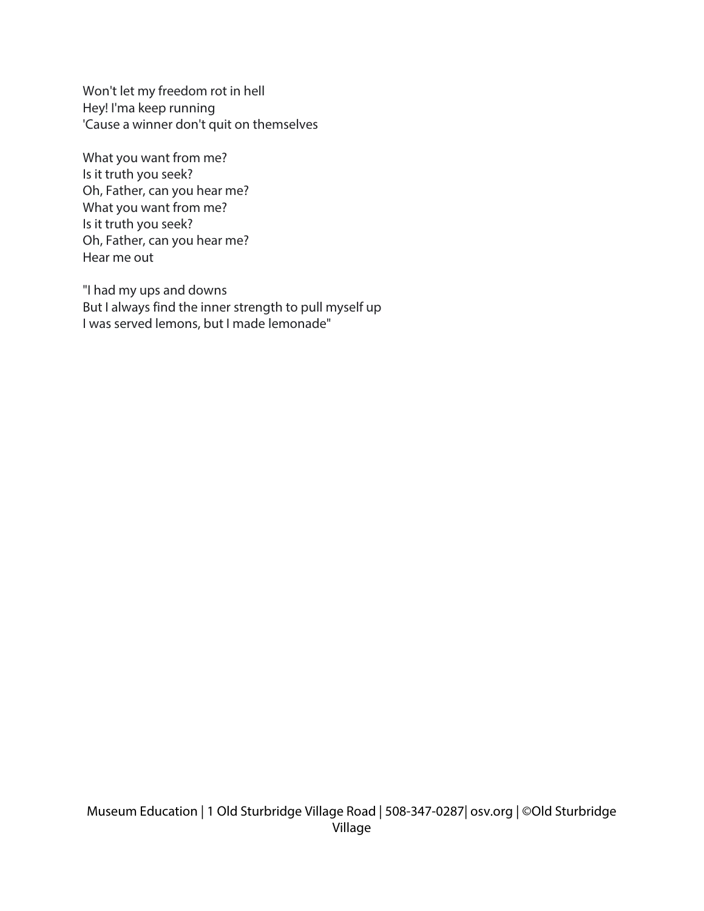Won't let my freedom rot in hell Hey! I'ma keep running 'Cause a winner don't quit on themselves

What you want from me? Is it truth you seek? Oh, Father, can you hear me? What you want from me? Is it truth you seek? Oh, Father, can you hear me? Hear me out

"I had my ups and downs But I always find the inner strength to pull myself up I was served lemons, but I made lemonade"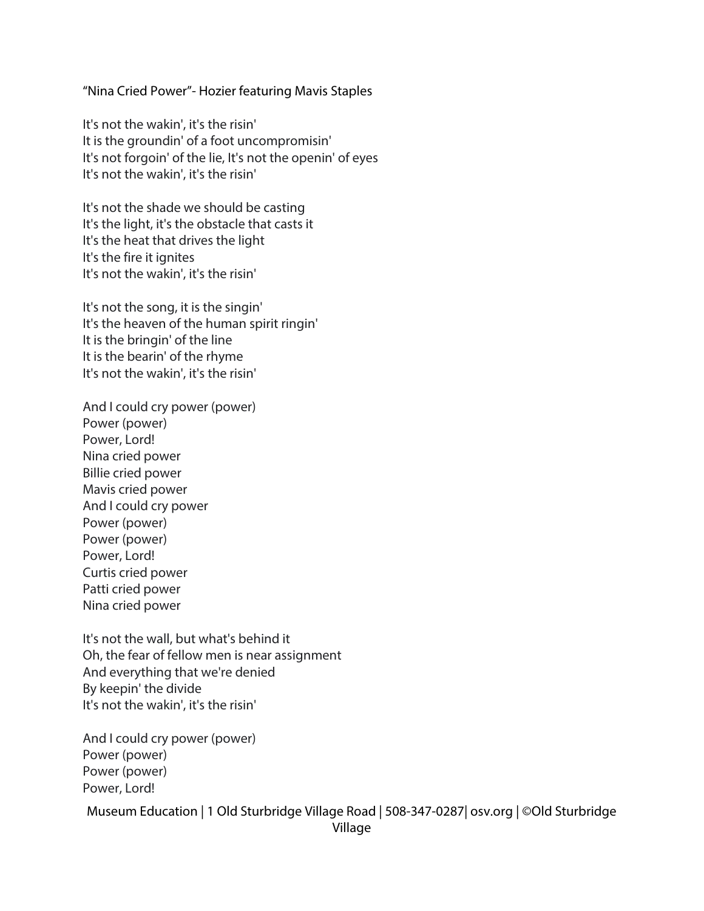#### "Nina Cried Power"- Hozier featuring Mavis Staples

It's not the wakin', it's the risin' It is the groundin' of a foot uncompromisin' It's not forgoin' of the lie, It's not the openin' of eyes It's not the wakin', it's the risin'

It's not the shade we should be casting It's the light, it's the obstacle that casts it It's the heat that drives the light It's the fire it ignites It's not the wakin', it's the risin'

It's not the song, it is the singin' It's the heaven of the human spirit ringin' It is the bringin' of the line It is the bearin' of the rhyme It's not the wakin', it's the risin'

And I could cry power (power) Power (power) Power, Lord! Nina cried power Billie cried power Mavis cried power And I could cry power Power (power) Power (power) Power, Lord! Curtis cried power Patti cried power Nina cried power

It's not the wall, but what's behind it Oh, the fear of fellow men is near assignment And everything that we're denied By keepin' the divide It's not the wakin', it's the risin'

And I could cry power (power) Power (power) Power (power) Power, Lord!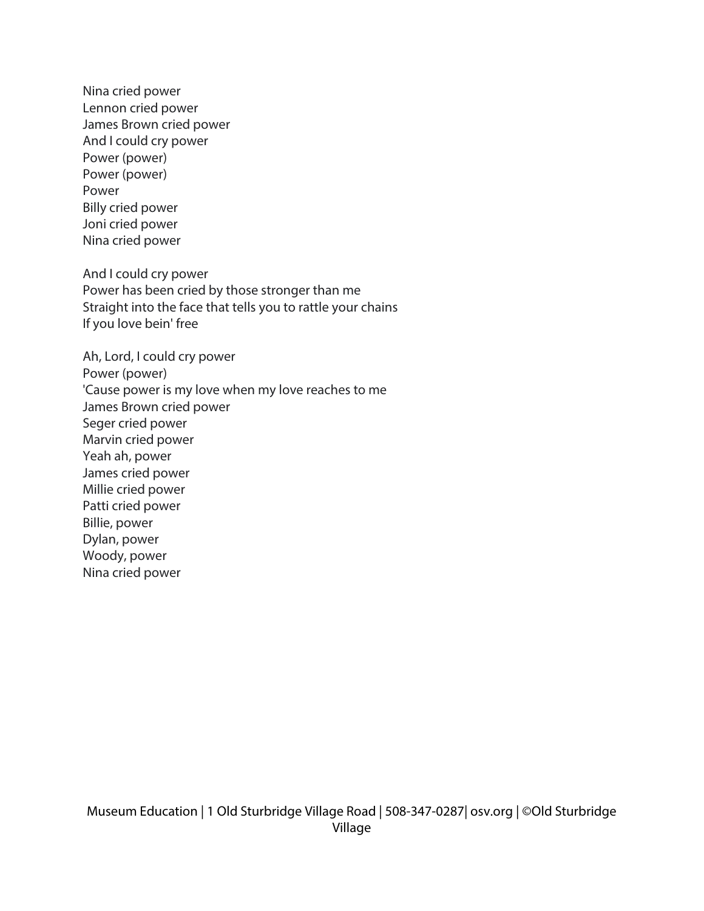Nina cried power Lennon cried power James Brown cried power And I could cry power Power (power) Power (power) Power Billy cried power Joni cried power Nina cried power And I could cry power Power has been cried by those stronger than me Straight into the face that tells you to rattle your chains If you love bein' free Ah, Lord, I could cry power Power (power) 'Cause power is my love when my love reaches to me James Brown cried power Seger cried power Marvin cried power Yeah ah, power James cried power Millie cried power Patti cried power Billie, power Dylan, power

Woody, power Nina cried power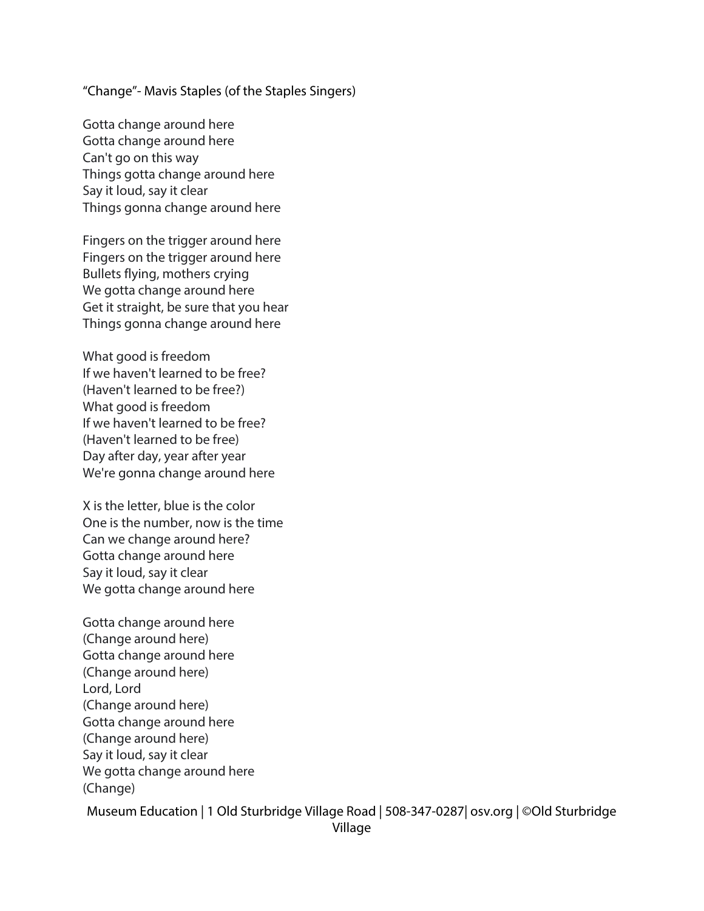"Change"- Mavis Staples (of the Staples Singers)

Gotta change around here Gotta change around here Can't go on this way Things gotta change around here Say it loud, say it clear Things gonna change around here

Fingers on the trigger around here Fingers on the trigger around here Bullets flying, mothers crying We gotta change around here Get it straight, be sure that you hear Things gonna change around here

What good is freedom If we haven't learned to be free? (Haven't learned to be free?) What good is freedom If we haven't learned to be free? (Haven't learned to be free) Day after day, year after year We're gonna change around here

X is the letter, blue is the color One is the number, now is the time Can we change around here? Gotta change around here Say it loud, say it clear We gotta change around here

Gotta change around here (Change around here) Gotta change around here (Change around here) Lord, Lord (Change around here) Gotta change around here (Change around here) Say it loud, say it clear We gotta change around here (Change)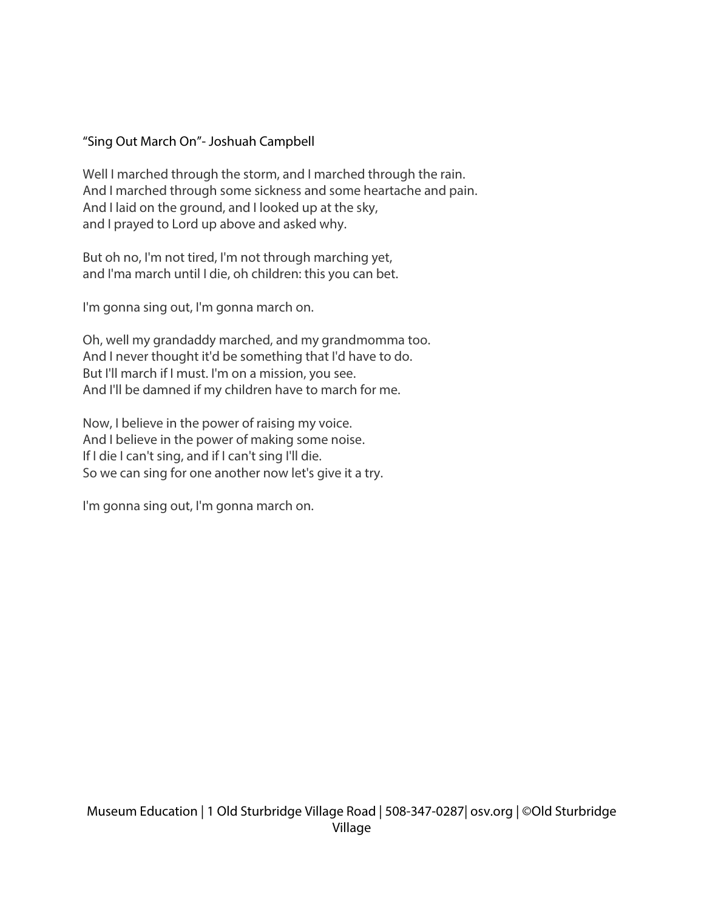## "Sing Out March On"- Joshuah Campbell

Well I marched through the storm, and I marched through the rain. And I marched through some sickness and some heartache and pain. And I laid on the ground, and I looked up at the sky, and I prayed to Lord up above and asked why.

But oh no, I'm not tired, I'm not through marching yet, and I'ma march until I die, oh children: this you can bet.

I'm gonna sing out, I'm gonna march on.

Oh, well my grandaddy marched, and my grandmomma too. And I never thought it'd be something that I'd have to do. But I'll march if I must. I'm on a mission, you see. And I'll be damned if my children have to march for me.

Now, I believe in the power of raising my voice. And I believe in the power of making some noise. If I die I can't sing, and if I can't sing I'll die. So we can sing for one another now let's give it a try.

I'm gonna sing out, I'm gonna march on.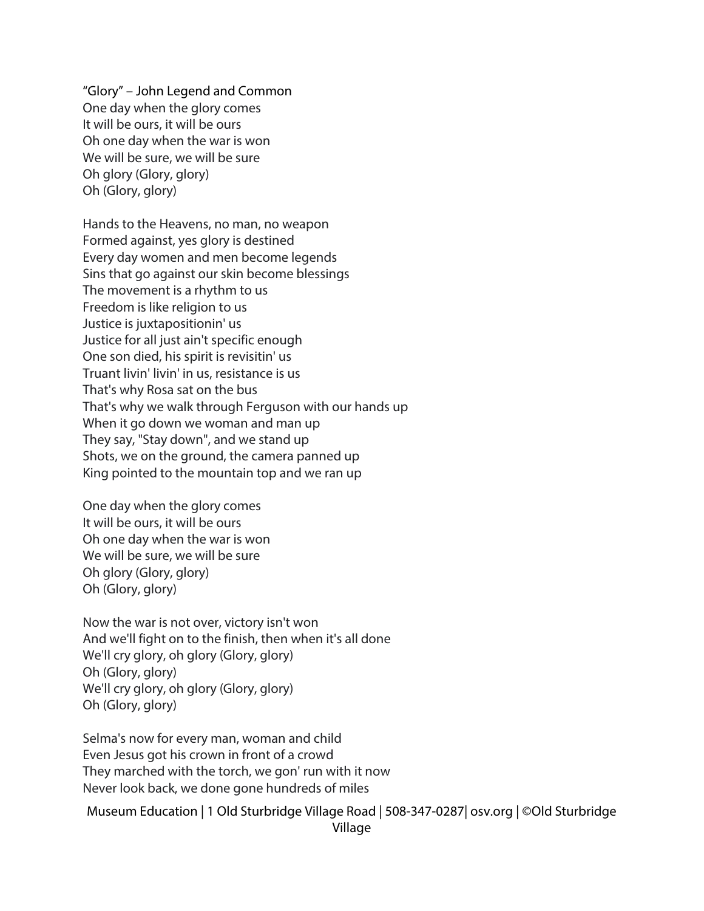"Glory" – John Legend and Common One day when the glory comes It will be ours, it will be ours Oh one day when the war is won We will be sure, we will be sure Oh glory (Glory, glory) Oh (Glory, glory)

Hands to the Heavens, no man, no weapon Formed against, yes glory is destined Every day women and men become legends Sins that go against our skin become blessings The movement is a rhythm to us Freedom is like religion to us Justice is juxtapositionin' us Justice for all just ain't specific enough One son died, his spirit is revisitin' us Truant livin' livin' in us, resistance is us That's why Rosa sat on the bus That's why we walk through Ferguson with our hands up When it go down we woman and man up They say, "Stay down", and we stand up Shots, we on the ground, the camera panned up King pointed to the mountain top and we ran up

One day when the glory comes It will be ours, it will be ours Oh one day when the war is won We will be sure, we will be sure Oh glory (Glory, glory) Oh (Glory, glory)

Now the war is not over, victory isn't won And we'll fight on to the finish, then when it's all done We'll cry glory, oh glory (Glory, glory) Oh (Glory, glory) We'll cry glory, oh glory (Glory, glory) Oh (Glory, glory)

Selma's now for every man, woman and child Even Jesus got his crown in front of a crowd They marched with the torch, we gon' run with it now Never look back, we done gone hundreds of miles